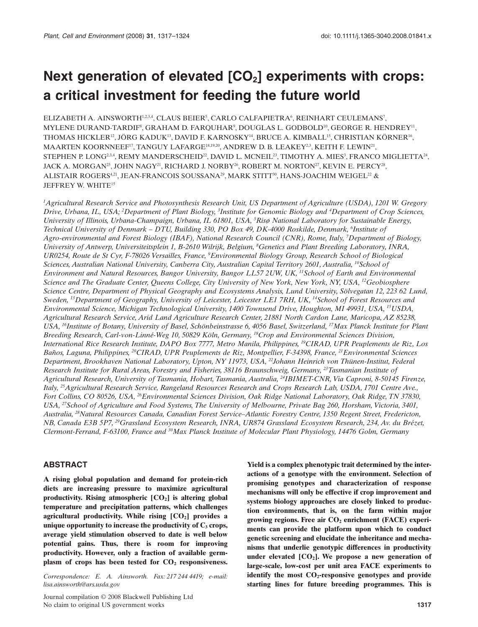# Next generation of elevated  $[CO<sub>2</sub>]$  experiments with crops: **a critical investment for feeding the future world**

ELIZABETH A. AINSWORTH<sup>1,2,3,4</sup>, CLAUS BEIER<sup>5</sup>, CARLO CALFAPIETRA<sup>6</sup>, REINHART CEULEMANS<sup>7</sup>, MYLENE DURAND-TARDIF®, GRAHAM D. FARQUHARº, DOUGLAS L. GODBOLD<sup>10</sup>, GEORGE R. HENDREY<sup>11</sup>, THOMAS HICKLER<sup>12</sup>, JÖRG KADUK<sup>13</sup>, DAVID F. KARNOSKY<sup>14</sup>, BRUCE A. KIMBALL<sup>15</sup>, CHRISTIAN KÖRNER<sup>16</sup>, MAARTEN KOORNNEEF<sup>17</sup>, TANGUY LAFARGE<sup>18,19,20</sup>, ANDREW D. B. LEAKEY<sup>2,3</sup>, KEITH F. LEWIN<sup>21</sup>, STEPHEN P. LONG $^{23,4},$  REMY MANDERSCHEID $^{22},$  DAVID L. MCNEIL $^{23},$  TIMOTHY A. MIES $^3,$  FRANCO MIGLIETTA $^{24},$ JACK A. MORGAN<sup>25</sup>, JOHN NAGY<sup>21</sup>, RICHARD J. NORBY<sup>26</sup>, ROBERT M. NORTON<sup>27</sup>, KEVIN E. PERCY<sup>28</sup>, ALISTAIR ROGERS<sup>4,21</sup>, JEAN-FRANCOIS SOUSSANA<sup>29</sup>, MARK STITT<sup>30</sup>, HANS-JOACHIM WEIGEL<sup>22</sup> & JEFFREY W. WHITE15

*1 Agricultural Research Service and Photosynthesis Research Unit, US Department of Agriculture (USDA), 1201 W. Gregory Drive, Urbana, IL, USA; <sup>2</sup> Department of Plant Biology, <sup>3</sup> Institute for Genomic Biology and <sup>4</sup> Department of Crop Sciences, University of Illinois, Urbana-Champaign, Urbana, IL 61801, USA, <sup>5</sup> Risø National Laboratory for Sustainable Energy, Technical University of Denmark – DTU, Building 330, PO Box 49, DK-4000 Roskilde, Denmark, <sup>6</sup> Institute of Agro-environmental and Forest Biology (IBAF), National Research Council (CNR), Rome, Italy, <sup>7</sup> Department of Biology, University of Antwerp, Universiteitsplein 1, B-2610 Wilrijk, Belgium, <sup>8</sup> Genetics and Plant Breeding Laboratory, INRA, UR0254, Route de St Cyr, F-78026 Versailles, France, <sup>9</sup> Environmental Biology Group, Research School of Biological Sciences, Australian National University, Canberra City, Australian Capital Territory 2601, Australia, 10School of Environment and Natural Resources, Bangor University, Bangor LL57 2UW, UK, 11School of Earth and Environmental Science and The Graduate Center, Queens College, City University of New York, New York, NY, USA, 12Geobiosphere Science Centre, Department of Physical Geography and Ecosystems Analysis, Lund University, Sölvegatan 12, 223 62 Lund, Sweden, 13Department of Geography, University of Leicester, Leicester LE1 7RH, UK, 14School of Forest Resources and Environmental Science, Michigan Technological University, 1400 Townsend Drive, Houghton, MI 49931, USA, 15USDA, Agricultural Research Service, Arid Land Agriculture Research Center, 21881 North Cardon Lane, Maricopa, AZ 85238, USA, 16Institute of Botany, University of Basel, Schönbeinstrasse 6, 4056 Basel, Switzerland, 17Max Planck Institute for Plant Breeding Research, Carl-von-Linné-Weg 10, 50829 Köln, Germany, 18Crop and Environmental Sciences Division, International Rice Research Institute, DAPO Box 7777, Metro Manila, Philippines, 19CIRAD, UPR Peuplements de Riz, Los Baños, Laguna, Philippines, 20CIRAD, UPR Peuplements de Riz, Montpellier, F-34398, France, 21Environmental Sciences Department, Brookhaven National Laboratory, Upton, NY 11973, USA, 22Johann Heinrich von Thünen-Institut, Federal Research Institute for Rural Areas, Forestry and Fisheries, 38116 Braunschweig, Germany, 23Tasmanian Institute of Agricultural Research, University of Tasmania, Hobart, Tasmania, Australia, 24IBIMET-CNR, Via Caproni, 8-50145 Firenze, Italy, 25Agricultural Research Service, Rangeland Resources Research and Crops Research Lab, USDA, 1701 Centre Ave., Fort Collins, CO 80526, USA, 26Environmental Sciences Division, Oak Ridge National Laboratory, Oak Ridge, TN 37830, USA, 27School of Agriculture and Food Systems, The University of Melbourne, Private Bag 260, Horsham, Victoria, 3401, Australia, 28Natural Resources Canada, Canadian Forest Service–Atlantic Forestry Centre, 1350 Regent Street, Fredericton, NB, Canada E3B 5P7, 29Grassland Ecosystem Research, INRA, UR874 Grassland Ecosystem Research, 234, Av. du Brézet, Clermont-Ferrand, F-63100, France and 30Max Planck Institute of Molecular Plant Physiology, 14476 Golm, Germany*

#### **ABSTRACT**

**A rising global population and demand for protein-rich diets are increasing pressure to maximize agricultural productivity. Rising atmospheric [CO2] is altering global temperature and precipitation patterns, which challenges** agricultural productivity. While rising [CO<sub>2</sub>] provides a **unique opportunity to increase the productivity of C3 crops, average yield stimulation observed to date is well below potential gains. Thus, there is room for improving productivity. However, only a fraction of available germ**plasm of crops has been tested for  $CO<sub>2</sub>$  responsiveness.

*Correspondence: E. A. Ainsworth. Fax: 217 244 4419; e-mail: lisa.[ainsworth@ars.usda.gov](mailto:ainsworth@ars.usda.gov)*

Journal compilation © 2008 Blackwell Publishing Ltd No claim to original US government works **1317**

**Yield is a complex phenotypic trait determined by the interactions of a genotype with the environment. Selection of promising genotypes and characterization of response mechanisms will only be effective if crop improvement and systems biology approaches are closely linked to production environments, that is, on the farm within major** growing regions. Free air  $CO<sub>2</sub>$  enrichment (FACE) experi**ments can provide the platform upon which to conduct genetic screening and elucidate the inheritance and mechanisms that underlie genotypic differences in productivity under elevated [CO2]. We propose a new generation of large-scale, low-cost per unit area FACE experiments to identify the most CO2-responsive genotypes and provide starting lines for future breeding programmes. This is**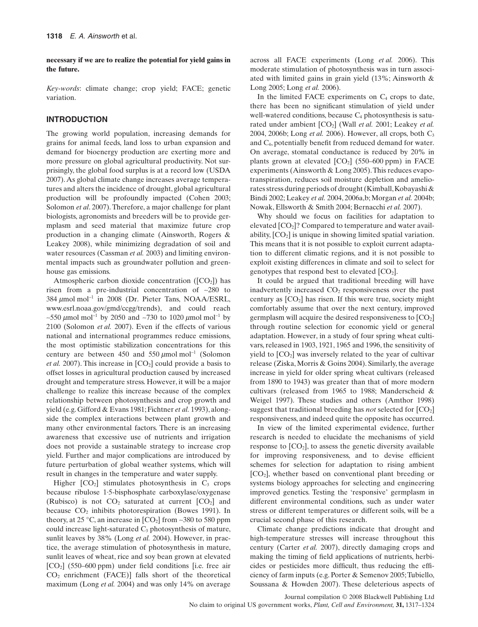**necessary if we are to realize the potential for yield gains in the future.**

*Key-words*: climate change; crop yield; FACE; genetic variation.

#### **INTRODUCTION**

The growing world population, increasing demands for grains for animal feeds, land loss to urban expansion and demand for bioenergy production are exerting more and more pressure on global agricultural productivity. Not surprisingly, the global food surplus is at a record low (USDA 2007). As global climate change increases average temperatures and alters the incidence of drought, global agricultural production will be profoundly impacted (Cohen 2003; Solomon *et al*. 2007). Therefore, a major challenge for plant biologists, agronomists and breeders will be to provide germplasm and seed material that maximize future crop production in a changing climate (Ainsworth, Rogers & Leakey 2008), while minimizing degradation of soil and water resources (Cassman *et al.* 2003) and limiting environmental impacts such as groundwater pollution and greenhouse gas emissions.

Atmospheric carbon dioxide concentration ( $[CO<sub>2</sub>]$ ) has risen from a pre-industrial concentration of ~280 to 384  $\mu$ mol mol<sup>-1</sup> in 2008 (Dr. Pieter Tans, NOAA/ESRL, [www.esrl.noaa.gov/gmd/ccgg/trends](http://www.esrl.noaa.gov/gmd/ccgg/trends)), and could reach ~550  $\mu$ mol mol<sup>-1</sup> by 2050 and ~730 to 1020  $\mu$ mol mol<sup>-1</sup> by 2100 (Solomon *et al.* 2007). Even if the effects of various national and international programmes reduce emissions, the most optimistic stabilization concentrations for this century are between 450 and 550  $\mu$ mol mol<sup>-1</sup> (Solomon *et al.* 2007). This increase in  $[CO<sub>2</sub>]$  could provide a basis to offset losses in agricultural production caused by increased drought and temperature stress. However, it will be a major challenge to realize this increase because of the complex relationship between photosynthesis and crop growth and yield (e.g. Gifford & Evans 1981; Fichtner *et al.* 1993), alongside the complex interactions between plant growth and many other environmental factors. There is an increasing awareness that excessive use of nutrients and irrigation does not provide a sustainable strategy to increase crop yield. Further and major complications are introduced by future perturbation of global weather systems, which will result in changes in the temperature and water supply.

Higher  $[CO_2]$  stimulates photosynthesis in  $C_3$  crops because ribulose 1·5-bisphosphate carboxylase/oxygenase (Rubisco) is not  $CO<sub>2</sub>$  saturated at current  $[CO<sub>2</sub>]$  and because  $CO<sub>2</sub>$  inhibits photorespiration (Bowes 1991). In theory, at 25 °C, an increase in  $[CO_2]$  from ~380 to 580 ppm could increase light-saturated  $C_3$  photosynthesis of mature, sunlit leaves by 38% (Long *et al.* 2004). However, in practice, the average stimulation of photosynthesis in mature, sunlit leaves of wheat, rice and soy bean grown at elevated  $[CO<sub>2</sub>]$  (550–600 ppm) under field conditions [i.e. free air  $CO<sub>2</sub>$  enrichment (FACE)] falls short of the theoretical maximum (Long *et al.* 2004) and was only 14% on average across all FACE experiments (Long *et al.* 2006). This moderate stimulation of photosynthesis was in turn associated with limited gains in grain yield (13%; Ainsworth & Long 2005; Long *et al.* 2006).

In the limited FACE experiments on  $C_4$  crops to date, there has been no significant stimulation of yield under well-watered conditions, because  $C_4$  photosynthesis is saturated under ambient  $[CO_2]$  (Wall *et al.* 2001; Leakey *et al.* 2004, 2006b; Long *et al.* 2006). However, all crops, both C3 and C4, potentially benefit from reduced demand for water. On average, stomatal conductance is reduced by 20% in plants grown at elevated  $[CO<sub>2</sub>]$  (550–600 ppm) in FACE experiments (Ainsworth & Long 2005).This reduces evapotranspiration, reduces soil moisture depletion and ameliorates stress during periods of drought (Kimball,Kobayashi & Bindi 2002; Leakey *et al.* 2004, 2006a,b; Morgan *et al.* 2004b; Nowak, Ellsworth & Smith 2004; Bernacchi *et al.* 2007).

Why should we focus on facilities for adaptation to elevated  $[CO<sub>2</sub>]$ ? Compared to temperature and water availability,  $[CO_2]$  is unique in showing limited spatial variation. This means that it is not possible to exploit current adaptation to different climatic regions, and it is not possible to exploit existing differences in climate and soil to select for genotypes that respond best to elevated  $[CO<sub>2</sub>]$ .

It could be argued that traditional breeding will have inadvertently increased  $CO<sub>2</sub>$  responsiveness over the past century as  $[CO<sub>2</sub>]$  has risen. If this were true, society might comfortably assume that over the next century, improved germplasm will acquire the desired responsiveness to  $[CO<sub>2</sub>]$ through routine selection for economic yield or general adaptation. However, in a study of four spring wheat cultivars, released in 1903, 1921, 1965 and 1996, the sensitivity of yield to  $[CO<sub>2</sub>]$  was inversely related to the year of cultivar release (Ziska, Morris & Goins 2004). Similarly, the average increase in yield for older spring wheat cultivars (released from 1890 to 1943) was greater than that of more modern cultivars (released from 1965 to 1988; Manderscheid & Weigel 1997). These studies and others (Amthor 1998) suggest that traditional breeding has *not* selected for [CO2] responsiveness, and indeed quite the opposite has occurred.

In view of the limited experimental evidence, further research is needed to elucidate the mechanisms of yield response to  $[CO<sub>2</sub>]$ , to assess the genetic diversity available for improving responsiveness, and to devise efficient schemes for selection for adaptation to rising ambient [CO2], whether based on conventional plant breeding or systems biology approaches for selecting and engineering improved genetics. Testing the 'responsive' germplasm in different environmental conditions, such as under water stress or different temperatures or different soils, will be a crucial second phase of this research.

Climate change predictions indicate that drought and high-temperature stresses will increase throughout this century (Carter *et al.* 2007), directly damaging crops and making the timing of field applications of nutrients, herbicides or pesticides more difficult, thus reducing the efficiency of farm inputs (e.g. Porter & Semenov 2005;Tubiello, Soussana & Howden 2007). These deleterious aspects of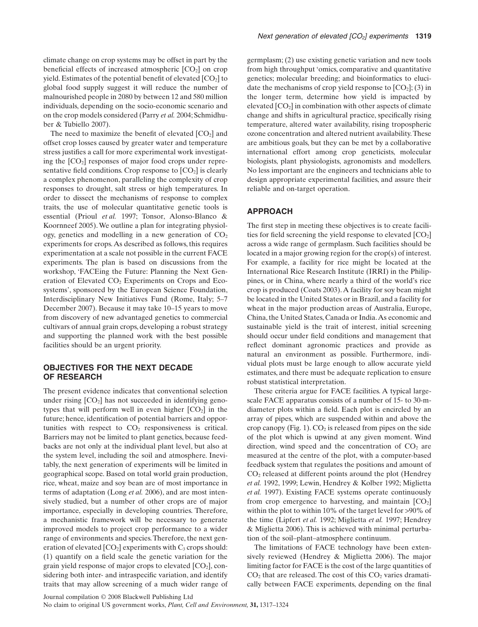climate change on crop systems may be offset in part by the beneficial effects of increased atmospheric  $[CO<sub>2</sub>]$  on crop yield. Estimates of the potential benefit of elevated  $[CO<sub>2</sub>]$  to global food supply suggest it will reduce the number of malnourished people in 2080 by between 12 and 580 million individuals, depending on the socio-economic scenario and on the crop models considered (Parry *et al.* 2004; Schmidhuber & Tubiello 2007).

The need to maximize the benefit of elevated  $[CO<sub>2</sub>]$  and offset crop losses caused by greater water and temperature stress justifies a call for more experimental work investigating the  $[CO<sub>2</sub>]$  responses of major food crops under representative field conditions. Crop response to  $[CO<sub>2</sub>]$  is clearly a complex phenomenon, paralleling the complexity of crop responses to drought, salt stress or high temperatures. In order to dissect the mechanisms of response to complex traits, the use of molecular quantitative genetic tools is essential (Prioul *et al.* 1997; Tonsor, Alonso-Blanco & Koornneef 2005). We outline a plan for integrating physiology, genetics and modelling in a new generation of  $CO<sub>2</sub>$ experiments for crops. As described as follows, this requires experimentation at a scale not possible in the current FACE experiments. The plan is based on discussions from the workshop, 'FACEing the Future: Planning the Next Generation of Elevated CO<sub>2</sub> Experiments on Crops and Ecosystems', sponsored by the European Science Foundation, Interdisciplinary New Initiatives Fund (Rome, Italy; 5–7 December 2007). Because it may take 10–15 years to move from discovery of new advantaged genetics to commercial cultivars of annual grain crops, developing a robust strategy and supporting the planned work with the best possible facilities should be an urgent priority.

#### **OBJECTIVES FOR THE NEXT DECADE OF RESEARCH**

The present evidence indicates that conventional selection under rising  $[CO<sub>2</sub>]$  has not succeeded in identifying genotypes that will perform well in even higher  $[CO<sub>2</sub>]$  in the future; hence, identification of potential barriers and opportunities with respect to  $CO<sub>2</sub>$  responsiveness is critical. Barriers may not be limited to plant genetics, because feedbacks are not only at the individual plant level, but also at the system level, including the soil and atmosphere. Inevitably, the next generation of experiments will be limited in geographical scope. Based on total world grain production, rice, wheat, maize and soy bean are of most importance in terms of adaptation (Long *et al.* 2006), and are most intensively studied, but a number of other crops are of major importance, especially in developing countries. Therefore, a mechanistic framework will be necessary to generate improved models to project crop performance to a wider range of environments and species.Therefore, the next generation of elevated  $[CO_2]$  experiments with  $C_3$  crops should: (1) quantify on a field scale the genetic variation for the grain yield response of major crops to elevated  $[CO<sub>2</sub>]$ , considering both inter- and intraspecific variation, and identify traits that may allow screening of a much wider range of germplasm; (2) use existing genetic variation and new tools from high throughput 'omics, comparative and quantitative genetics; molecular breeding; and bioinformatics to elucidate the mechanisms of crop yield response to  $[CO<sub>2</sub>]; (3)$  in the longer term, determine how yield is impacted by elevated  $[CO<sub>2</sub>]$  in combination with other aspects of climate change and shifts in agricultural practice, specifically rising temperature, altered water availability, rising tropospheric ozone concentration and altered nutrient availability.These are ambitious goals, but they can be met by a collaborative international effort among crop geneticists, molecular biologists, plant physiologists, agronomists and modellers. No less important are the engineers and technicians able to design appropriate experimental facilities, and assure their reliable and on-target operation.

### **APPROACH**

The first step in meeting these objectives is to create facilities for field screening the yield response to elevated  $[CO<sub>2</sub>]$ across a wide range of germplasm. Such facilities should be located in a major growing region for the crop(s) of interest. For example, a facility for rice might be located at the International Rice Research Institute (IRRI) in the Philippines, or in China, where nearly a third of the world's rice crop is produced (Coats 2003).A facility for soy bean might be located in the United States or in Brazil, and a facility for wheat in the major production areas of Australia, Europe, China, the United States, Canada or India.As economic and sustainable yield is the trait of interest, initial screening should occur under field conditions and management that reflect dominant agronomic practices and provide as natural an environment as possible. Furthermore, individual plots must be large enough to allow accurate yield estimates, and there must be adequate replication to ensure robust statistical interpretation.

These criteria argue for FACE facilities. A typical largescale FACE apparatus consists of a number of 15- to 30-mdiameter plots within a field. Each plot is encircled by an array of pipes, which are suspended within and above the crop canopy (Fig. 1).  $CO<sub>2</sub>$  is released from pipes on the side of the plot which is upwind at any given moment. Wind direction, wind speed and the concentration of  $CO<sub>2</sub>$  are measured at the centre of the plot, with a computer-based feedback system that regulates the positions and amount of  $CO<sub>2</sub>$  released at different points around the plot (Hendrey *et al.* 1992, 1999; Lewin, Hendrey & Kolber 1992; Miglietta *et al.* 1997). Existing FACE systems operate continuously from crop emergence to harvesting, and maintain  $[CO<sub>2</sub>]$ within the plot to within 10% of the target level for >90% of the time (Lipfert *et al.* 1992; Miglietta *et al.* 1997; Hendrey & Miglietta 2006). This is achieved with minimal perturbation of the soil–plant–atmosphere continuum.

The limitations of FACE technology have been extensively reviewed (Hendrey & Miglietta 2006). The major limiting factor for FACE is the cost of the large quantities of  $CO<sub>2</sub>$  that are released. The cost of this  $CO<sub>2</sub>$  varies dramatically between FACE experiments, depending on the final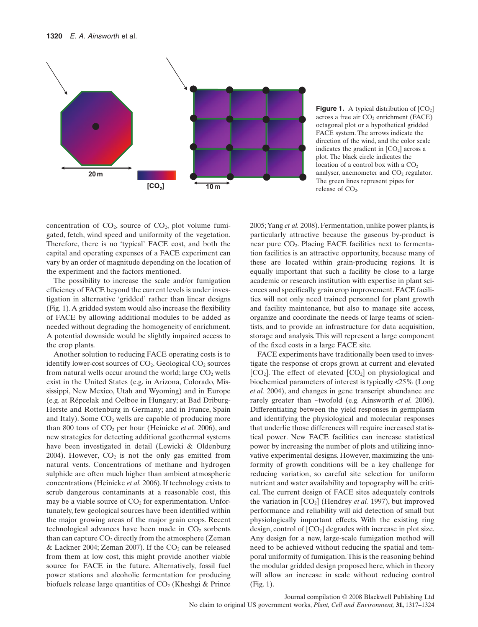

**Figure 1.** A typical distribution of  $[CO<sub>2</sub>]$ across a free air  $CO<sub>2</sub>$  enrichment (FACE) octagonal plot or a hypothetical gridded FACE system. The arrows indicate the direction of the wind, and the color scale indicates the gradient in  $[CO<sub>2</sub>]$  across a plot. The black circle indicates the location of a control box with a  $CO<sub>2</sub>$ analyser, anemometer and CO<sub>2</sub> regulator. The green lines represent pipes for release of CO<sub>2</sub>.

concentration of  $CO<sub>2</sub>$ , source of  $CO<sub>2</sub>$ , plot volume fumigated, fetch, wind speed and uniformity of the vegetation. Therefore, there is no 'typical' FACE cost, and both the capital and operating expenses of a FACE experiment can vary by an order of magnitude depending on the location of the experiment and the factors mentioned.

The possibility to increase the scale and/or fumigation efficiency of FACE beyond the current levels is under investigation in alternative 'gridded' rather than linear designs (Fig. 1).A gridded system would also increase the flexibility of FACE by allowing additional modules to be added as needed without degrading the homogeneity of enrichment. A potential downside would be slightly impaired access to the crop plants.

Another solution to reducing FACE operating costs is to identify lower-cost sources of  $CO<sub>2</sub>$ . Geological  $CO<sub>2</sub>$  sources from natural wells occur around the world; large  $CO<sub>2</sub>$  wells exist in the United States (e.g. in Arizona, Colorado, Mississippi, New Mexico, Utah and Wyoming) and in Europe (e.g. at Répcelak and Oelboe in Hungary; at Bad Driburg-Herste and Rottenburg in Germany; and in France, Spain and Italy). Some  $CO<sub>2</sub>$  wells are capable of producing more than 800 tons of  $CO<sub>2</sub>$  per hour (Heinicke *et al.* 2006), and new strategies for detecting additional geothermal systems have been investigated in detail (Lewicki & Oldenburg 2004). However,  $CO<sub>2</sub>$  is not the only gas emitted from natural vents. Concentrations of methane and hydrogen sulphide are often much higher than ambient atmospheric concentrations (Heinicke *et al.* 2006). If technology exists to scrub dangerous contaminants at a reasonable cost, this may be a viable source of  $CO<sub>2</sub>$  for experimentation. Unfortunately, few geological sources have been identified within the major growing areas of the major grain crops. Recent technological advances have been made in  $CO<sub>2</sub>$  sorbents than can capture  $CO<sub>2</sub>$  directly from the atmosphere (Zeman & Lackner 2004; Zeman 2007). If the  $CO<sub>2</sub>$  can be released from them at low cost, this might provide another viable source for FACE in the future. Alternatively, fossil fuel power stations and alcoholic fermentation for producing biofuels release large quantities of  $CO<sub>2</sub>$  (Kheshgi & Prince 2005;Yang *et al.* 2008). Fermentation, unlike power plants, is particularly attractive because the gaseous by-product is near pure CO2. Placing FACE facilities next to fermentation facilities is an attractive opportunity, because many of these are located within grain-producing regions. It is equally important that such a facility be close to a large academic or research institution with expertise in plant sciences and specifically grain crop improvement. FACE facilities will not only need trained personnel for plant growth and facility maintenance, but also to manage site access, organize and coordinate the needs of large teams of scientists, and to provide an infrastructure for data acquisition, storage and analysis. This will represent a large component of the fixed costs in a large FACE site.

FACE experiments have traditionally been used to investigate the response of crops grown at current and elevated  $[CO<sub>2</sub>]$ . The effect of elevated  $[CO<sub>2</sub>]$  on physiological and biochemical parameters of interest is typically <25% (Long *et al.* 2004), and changes in gene transcript abundance are rarely greater than ~twofold (e.g. Ainsworth *et al.* 2006). Differentiating between the yield responses in germplasm and identifying the physiological and molecular responses that underlie those differences will require increased statistical power. New FACE facilities can increase statistical power by increasing the number of plots and utilizing innovative experimental designs. However, maximizing the uniformity of growth conditions will be a key challenge for reducing variation, so careful site selection for uniform nutrient and water availability and topography will be critical. The current design of FACE sites adequately controls the variation in  $[CO<sub>2</sub>]$  (Hendrey *et al.* 1997), but improved performance and reliability will aid detection of small but physiologically important effects. With the existing ring design, control of  $[CO_2]$  degrades with increase in plot size. Any design for a new, large-scale fumigation method will need to be achieved without reducing the spatial and temporal uniformity of fumigation.This is the reasoning behind the modular gridded design proposed here, which in theory will allow an increase in scale without reducing control (Fig. 1).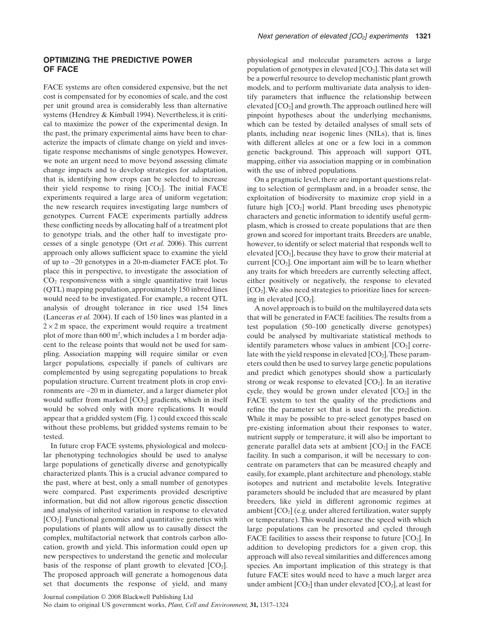#### **OPTIMIZING THE PREDICTIVE POWER OF FACE**

FACE systems are often considered expensive, but the net cost is compensated for by economies of scale, and the cost per unit ground area is considerably less than alternative systems (Hendrey & Kimball 1994). Nevertheless, it is critical to maximize the power of the experimental design. In the past, the primary experimental aims have been to characterize the impacts of climate change on yield and investigate response mechanisms of single genotypes. However, we note an urgent need to move beyond assessing climate change impacts and to develop strategies for adaptation, that is, identifying how crops can be selected to increase their yield response to rising  $[CO<sub>2</sub>]$ . The initial FACE experiments required a large area of uniform vegetation; the new research requires investigating large numbers of genotypes. Current FACE experiments partially address these conflicting needs by allocating half of a treatment plot to genotype trials, and the other half to investigate processes of a single genotype (Ort *et al.* 2006). This current approach only allows sufficient space to examine the yield of up to ~20 genotypes in a 20-m-diameter FACE plot. To place this in perspective, to investigate the association of  $CO<sub>2</sub>$  responsiveness with a single quantitative trait locus (QTL) mapping population, approximately 150 inbred lines would need to be investigated. For example, a recent QTL analysis of drought tolerance in rice used 154 lines (Lanceras *et al.* 2004). If each of 150 lines was planted in a  $2 \times 2$  m space, the experiment would require a treatment plot of more than 600 m2 , which includes a 1 m border adjacent to the release points that would not be used for sampling. Association mapping will require similar or even larger populations, especially if panels of cultivars are complemented by using segregating populations to break population structure. Current treatment plots in crop environments are ~20 m in diameter, and a larger diameter plot would suffer from marked  $[CO_2]$  gradients, which in itself would be solved only with more replications. It would appear that a gridded system (Fig. 1) could exceed this scale without these problems, but gridded systems remain to be tested.

In future crop FACE systems, physiological and molecular phenotyping technologies should be used to analyse large populations of genetically diverse and genotypically characterized plants. This is a crucial advance compared to the past, where at best, only a small number of genotypes were compared. Past experiments provided descriptive information, but did not allow rigorous genetic dissection and analysis of inherited variation in response to elevated [CO2]. Functional genomics and quantitative genetics with populations of plants will allow us to causally dissect the complex, multifactorial network that controls carbon allocation, growth and yield. This information could open up new perspectives to understand the genetic and molecular basis of the response of plant growth to elevated  $[CO<sub>2</sub>]$ . The proposed approach will generate a homogenous data set that documents the response of yield, and many

physiological and molecular parameters across a large population of genotypes in elevated  $[CO_2]$ . This data set will be a powerful resource to develop mechanistic plant growth models, and to perform multivariate data analysis to identify parameters that influence the relationship between elevated  $[CO<sub>2</sub>]$  and growth. The approach outlined here will pinpoint hypotheses about the underlying mechanisms, which can be tested by detailed analyses of small sets of plants, including near isogenic lines (NILs), that is, lines with different alleles at one or a few loci in a common genetic background. This approach will support QTL mapping, either via association mapping or in combination with the use of inbred populations.

On a pragmatic level, there are important questions relating to selection of germplasm and, in a broader sense, the exploitation of biodiversity to maximize crop yield in a future high  $[CO<sub>2</sub>]$  world. Plant breeding uses phenotypic characters and genetic information to identify useful germplasm, which is crossed to create populations that are then grown and scored for important traits. Breeders are unable, however, to identify or select material that responds well to elevated  $[CO<sub>2</sub>]$ , because they have to grow their material at current  $[CO<sub>2</sub>]$ . One important aim will be to learn whether any traits for which breeders are currently selecting affect, either positively or negatively, the response to elevated  $[CO<sub>2</sub>]$ . We also need strategies to prioritize lines for screening in elevated  $[CO<sub>2</sub>]$ .

A novel approach is to build on the multilayered data sets that will be generated in FACE facilities. The results from a test population (50–100 genetically diverse genotypes) could be analysed by multivariate statistical methods to identify parameters whose values in ambient  $[CO<sub>2</sub>]$  correlate with the yield response in elevated  $[CO<sub>2</sub>]$ . These parameters could then be used to survey large genetic populations and predict which genotypes should show a particularly strong or weak response to elevated  $[CO<sub>2</sub>]$ . In an iterative cycle, they would be grown under elevated  $[CO_2]$  in the FACE system to test the quality of the predictions and refine the parameter set that is used for the prediction. While it may be possible to pre-select genotypes based on pre-existing information about their responses to water, nutrient supply or temperature, it will also be important to generate parallel data sets at ambient  $[CO<sub>2</sub>]$  in the FACE facility. In such a comparison, it will be necessary to concentrate on parameters that can be measured cheaply and easily, for example, plant architecture and phenology, stable isotopes and nutrient and metabolite levels. Integrative parameters should be included that are measured by plant breeders, like yield in different agronomic regimes at ambient  $[CO<sub>2</sub>]$  (e.g. under altered fertilization, water supply or temperature). This would increase the speed with which large populations can be presorted and cycled through FACE facilities to assess their response to future  $[CO<sub>2</sub>]$ . In addition to developing predictors for a given crop, this approach will also reveal similarities and differences among species. An important implication of this strategy is that future FACE sites would need to have a much larger area under ambient  $[CO_2]$  than under elevated  $[CO_2]$ , at least for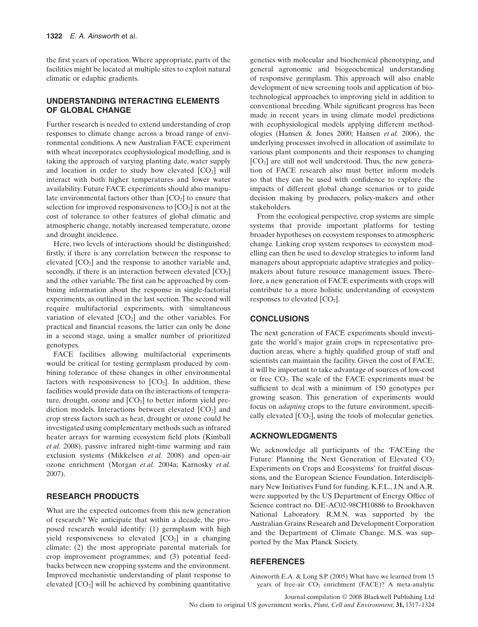the first years of operation. Where appropriate, parts of the facilities might be located at multiple sites to exploit natural climatic or edaphic gradients.

## **UNDERSTANDING INTERACTING ELEMENTS OF GLOBAL CHANGE**

Further research is needed to extend understanding of crop responses to climate change across a broad range of environmental conditions. A new Australian FACE experiment with wheat incorporates ecophysiological modelling, and is taking the approach of varying planting date, water supply and location in order to study how elevated  $[CO<sub>2</sub>]$  will interact with both higher temperatures and lower water availability. Future FACE experiments should also manipulate environmental factors other than  $[CO<sub>2</sub>]$  to ensure that selection for improved responsiveness to  $[CO<sub>2</sub>]$  is not at the cost of tolerance to other features of global climatic and atmospheric change, notably increased temperature, ozone and drought incidence.

Here, two levels of interactions should be distinguished; firstly, if there is any correlation between the response to elevated  $[CO<sub>2</sub>]$  and the response to another variable and, secondly, if there is an interaction between elevated  $[CO<sub>2</sub>]$ and the other variable. The first can be approached by combining information about the response in single-factorial experiments, as outlined in the last section. The second will require multifactorial experiments, with simultaneous variation of elevated  $[CO<sub>2</sub>]$  and the other variables. For practical and financial reasons, the latter can only be done in a second stage, using a smaller number of prioritized genotypes.

FACE facilities allowing multifactorial experiments would be critical for testing germplasm produced by combining tolerance of these changes in other environmental factors with responsiveness to  $[CO<sub>2</sub>]$ . In addition, these facilities would provide data on the interactions of temperature, drought, ozone and  $[CO<sub>2</sub>]$  to better inform yield prediction models. Interactions between elevated  $[CO<sub>2</sub>]$  and crop stress factors such as heat, drought or ozone could be investigated using complementary methods such as infrared heater arrays for warming ecosystem field plots (Kimball *et al.* 2008), passive infrared night-time warming and rain exclusion systems (Mikkelsen *et al.* 2008) and open-air ozone enrichment (Morgan *et al.* 2004a; Karnosky *et al.* 2007).

## **RESEARCH PRODUCTS**

What are the expected outcomes from this new generation of research? We anticipate that within a decade, the proposed research would identify: (1) germplasm with high yield responsiveness to elevated  $[CO<sub>2</sub>]$  in a changing climate; (2) the most appropriate parental materials for crop improvement programmes; and (3) potential feedbacks between new cropping systems and the environment. Improved mechanistic understanding of plant response to elevated  $[CO<sub>2</sub>]$  will be achieved by combining quantitative genetics with molecular and biochemical phenotyping, and general agronomic and biogeochemical understanding of responsive germplasm. This approach will also enable development of new screening tools and application of biotechnological approaches to improving yield in addition to conventional breeding. While significant progress has been made in recent years in using climate model predictions with ecophysiological models applying different methodologies (Hansen & Jones 2000; Hansen *et al.* 2006), the underlying processes involved in allocation of assimilate to various plant components and their responses to changing  $[CO<sub>2</sub>]$  are still not well understood. Thus, the new generation of FACE research also must better inform models so that they can be used with confidence to explore the impacts of different global change scenarios or to guide decision making by producers, policy-makers and other stakeholders.

From the ecological perspective, crop systems are simple systems that provide important platforms for testing broader hypotheses on ecosystem responses to atmospheric change. Linking crop system responses to ecosystem modelling can then be used to develop strategies to inform land managers about appropriate adaptive strategies and policymakers about future resource management issues. Therefore, a new generation of FACE experiments with crops will contribute to a more holistic understanding of ecosystem responses to elevated  $[CO<sub>2</sub>]$ .

### **CONCLUSIONS**

The next generation of FACE experiments should investigate the world's major grain crops in representative production areas, where a highly qualified group of staff and scientists can maintain the facility. Given the cost of FACE, it will be important to take advantage of sources of low-cost or free CO2. The scale of the FACE experiments must be sufficient to deal with a minimum of 150 genotypes per growing season. This generation of experiments would focus on *adapting* crops to the future environment, specifically elevated  $[CO_2]$ , using the tools of molecular genetics.

## **ACKNOWLEDGMENTS**

We acknowledge all participants of the 'FACEing the Future: Planning the Next Generation of Elevated  $CO<sub>2</sub>$ Experiments on Crops and Ecosystems' for fruitful discussions, and the European Science Foundation, Interdisciplinary New Initiatives Fund for funding. K.F.L., J.N. and A.R. were supported by the US Department of Energy Office of Science contract no. DE-AC02-98CH10886 to Brookhaven National Laboratory. R.M.N. was supported by the Australian Grains Research and Development Corporation and the Department of Climate Change. M.S. was supported by the Max Planck Society.

#### **REFERENCES**

Ainsworth E.A. & Long S.P. (2005) What have we learned from 15 years of free-air  $CO<sub>2</sub>$  enrichment (FACE)? A meta-analytic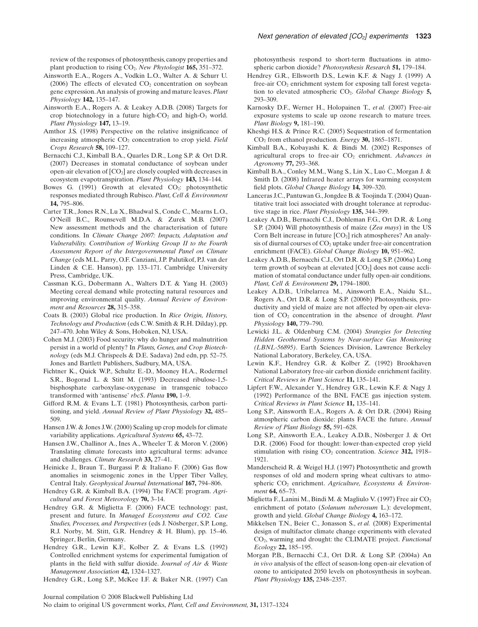review of the responses of photosynthesis, canopy properties and plant production to rising CO2. *New Phytologist* **165,** 351–372.

- Ainsworth E.A., Rogers A., Vodkin L.O., Walter A. & Schurr U. (2006) The effects of elevated  $CO<sub>2</sub>$  concentration on soybean gene expression.An analysis of growing and mature leaves.*Plant Physiology* **142,** 135–147.
- Ainsworth E.A., Rogers A. & Leakey A.D.B. (2008) Targets for crop biotechnology in a future high- $CO<sub>2</sub>$  and high- $O<sub>3</sub>$  world. *Plant Physiology* **147,** 13–19.
- Amthor J.S. (1998) Perspective on the relative insignificance of increasing atmospheric CO<sub>2</sub> concentration to crop yield. *Field Crops Research* **58,** 109–127.
- Bernacchi C.J., Kimball B.A., Quarles D.R., Long S.P. & Ort D.R. (2007) Decreases in stomatal conductance of soybean under open-air elevation of  $[CO_2]$  are closely coupled with decreases in ecosystem evapotranspiration. *Plant Physiology* **143,** 134–144.
- Bowes G. (1991) Growth at elevated  $CO<sub>2</sub>$ : photosynthetic responses mediated through Rubisco.*Plant, Cell & Environment* **14,** 795–806.
- Carter T.R., Jones R.N., Lu X., Bhadwal S., Conde C., Mearns L.O., O'Neill B.C., Rounsevell M.D.A. & Zurek M.B. (2007) New assessment methods and the characterisation of future conditions. In *Climate Change 2007: Impacts, Adaptation and Vulnerability. Contribution of Working Group II to the Fourth Assessment Report of the Intergovernmental Panel on Climate Change* (eds M.L. Parry, O.F. Canziani, J.P. Palutikof, P.J. van der Linden & C.E. Hanson), pp. 133–171. Cambridge University Press, Cambridge, UK.
- Cassman K.G., Dobermann A., Walters D.T. & Yang H. (2003) Meeting cereal demand while protecting natural resources and improving environmental quality. *Annual Review of Environment and Resources* **28,** 315–358.
- Coats B. (2003) Global rice production. In *Rice Origin, History, Technology and Production* (eds C.W. Smith & R.H. Dilday), pp. 247–470. John Wiley & Sons, Hoboken, NJ, USA.
- Cohen M.J. (2003) Food security: why do hunger and malnutrition persist in a world of plenty? In *Plants, Genes, and Crop Biotechnology* (eds M.J. Chrispeels & D.E. Sadava) 2nd edn, pp. 52–75. Jones and Bartlett Publishers, Sudbury, MA, USA.
- Fichtner K., Quick W.P., Schultz E.-D., Mooney H.A., Rodermel S.R., Bogorad L. & Stitt M. (1993) Decreased ribulose-1,5 bisphosphate carboxylase-oxygenase in transgenic tobacco transformed with 'antisense' *rbcS*. *Planta* **190,** 1–9.
- Gifford R.M. & Evans L.T. (1981) Photosynthesis, carbon partitioning, and yield. *Annual Review of Plant Physiology* **32,** 485– 509.
- Hansen J.W. & Jones J.W. (2000) Scaling up crop models for climate variability applications. *Agricultural Systems* **65,** 43–72.
- Hansen J.W., Challinor A., Ines A., Wheeler T. & Moron V. (2006) Translating climate forecasts into agricultural terms: advance and challenges. *Climate Research* **33,** 27–41.
- Heinicke J., Braun T., Burgassi P. & Italiano F. (2006) Gas flow anomalies in seismogenic zones in the Upper Tiber Valley, Central Italy. *Geophysical Journal International* **167,** 794–806.
- Hendrey G.R. & Kimball B.A. (1994) The FACE program. *Agricultural and Forest Meteorology* **70,** 3–14.
- Hendrey G.R. & Miglietta F. (2006) FACE technology: past, present and future. In *Managed Ecosystems and CO2. Case Studies, Processes, and Perspectives* (eds J. Nösberger, S.P. Long, R.J. Norby, M. Stitt, G.R. Hendrey & H. Blum), pp. 15–46. Springer, Berlin, Germany.
- Hendrey G.R., Lewin K.F., Kolber Z. & Evans L.S. (1992) Controlled enrichment systems for experimental fumigation of plants in the field with sulfur dioxide. *Journal of Air & Waste Management Association* **42,** 1324–1327.
- Hendrey G.R., Long S.P., McKee I.F. & Baker N.R. (1997) Can

photosynthesis respond to short-term fluctuations in atmospheric carbon dioxide? *Photosynthesis Research* **51,** 179–184.

- Hendrey G.R., Ellsworth D.S., Lewin K.F. & Nagy J. (1999) A free-air  $CO<sub>2</sub>$  enrichment system for exposing tall forest vegetation to elevated atmospheric CO2. *Global Change Biology* **5,** 293–309.
- Karnosky D.F., Werner H., Holopainen T., *et al.* (2007) Free-air exposure systems to scale up ozone research to mature trees. *Plant Biology* **9,** 181–190.
- Kheshgi H.S. & Prince R.C. (2005) Sequestration of fermentation CO2 from ethanol production. *Energy* **30,** 1865–1871.
- Kimball B.A., Kobayashi K. & Bindi M. (2002) Responses of agricultural crops to free-air CO<sub>2</sub> enrichment. Advances in *Agronomy* **77,** 293–368.
- Kimball B.A., Conley M.M., Wang S., Lin X., Luo C., Morgan J. & Smith D. (2008) Infrared heater arrays for warming ecosystem field plots. *Global Change Biology* **14,** 309–320.
- Lanceras J.C., Pantuwan G., Jongdee B. & Toojinda T. (2004) Quantitative trait loci associated with drought tolerance at reproductive stage in rice. *Plant Physiology* **135,** 344–399.
- Leakey A.D.B., Bernacchi C.J., Dohleman F.G., Ort D.R. & Long S.P. (2004) Will photosynthesis of maize (*Zea mays*) in the US Corn Belt increase in future  $[CO<sub>2</sub>]$  rich atmospheres? An analysis of diurnal courses of CO<sub>2</sub> uptake under free-air concentration enrichment (FACE). *Global Change Biology* **10,** 951–962.
- Leakey A.D.B., Bernacchi C.J., Ort D.R. & Long S.P. (2006a) Long term growth of soybean at elevated  $[CO<sub>2</sub>]$  does not cause acclimation of stomatal conductance under fully open-air conditions. *Plant, Cell & Environment* **29,** 1794–1800.
- Leakey A.D.B., Uribelarrea M., Ainsworth E.A., Naidu S.L., Rogers A., Ort D.R. & Long S.P. (2006b) Photosynthesis, productivity and yield of maize are not affected by open-air elevation of CO<sub>2</sub> concentration in the absence of drought. *Plant Physiology* **140,** 779–790.
- Lewicki J.L. & Oldenburg C.M. (2004) *Strategies for Detecting Hidden Geothermal Systems by Near-surface Gas Monitoring (LBNL-56895)*. Earth Sciences Division, Lawrence Berkeley National Laboratory, Berkeley, CA, USA.
- Lewin K.F., Hendrey G.R. & Kolber Z. (1992) Brookhaven National Laboratory free-air carbon dioxide enrichment facility. *Critical Reviews in Plant Science* **11,** 135–141.
- Lipfert F.W., Alexander Y., Hendrey G.R., Lewin K.F. & Nagy J. (1992) Performance of the BNL FACE gas injection system. *Critical Reviews in Plant Science* **11,** 135–141.
- Long S.P., Ainsworth E.A., Rogers A. & Ort D.R. (2004) Rising atmospheric carbon dioxide: plants FACE the future. *Annual Review of Plant Biology* **55,** 591–628.
- Long S.P., Ainsworth E.A., Leakey A.D.B., Nösberger J. & Ort D.R. (2006) Food for thought: lower-than-expected crop yield stimulation with rising CO<sub>2</sub> concentration. *Science* 312, 1918– 1921.
- Manderscheid R. & Weigel H.J. (1997) Photosynthetic and growth responses of old and modern spring wheat cultivars to atmospheric CO<sub>2</sub> enrichment. Agriculture, Ecosystems & Environ*ment* **64,** 65–73.
- Miglietta F., Lanini M., Bindi M. & Magliulo V. (1997) Free air  $CO<sub>2</sub>$ enrichment of potato (*Solanum tuberosum* L.): development, growth and yield. *Global Change Biology* **4,** 163–172.
- Mikkelsen T.N., Beier C., Jonasson S., *et al.* (2008) Experimental design of multifactor climate change experiments with elevated CO2, warming and drought: the CLIMATE project. *Functional Ecology* **22,** 185–195.
- Morgan P.B., Bernacchi C.J., Ort D.R. & Long S.P. (2004a) An *in vivo* analysis of the effect of season-long open-air elevation of ozone to anticipated 2050 levels on photosynthesis in soybean. *Plant Physiology* **135,** 2348–2357.